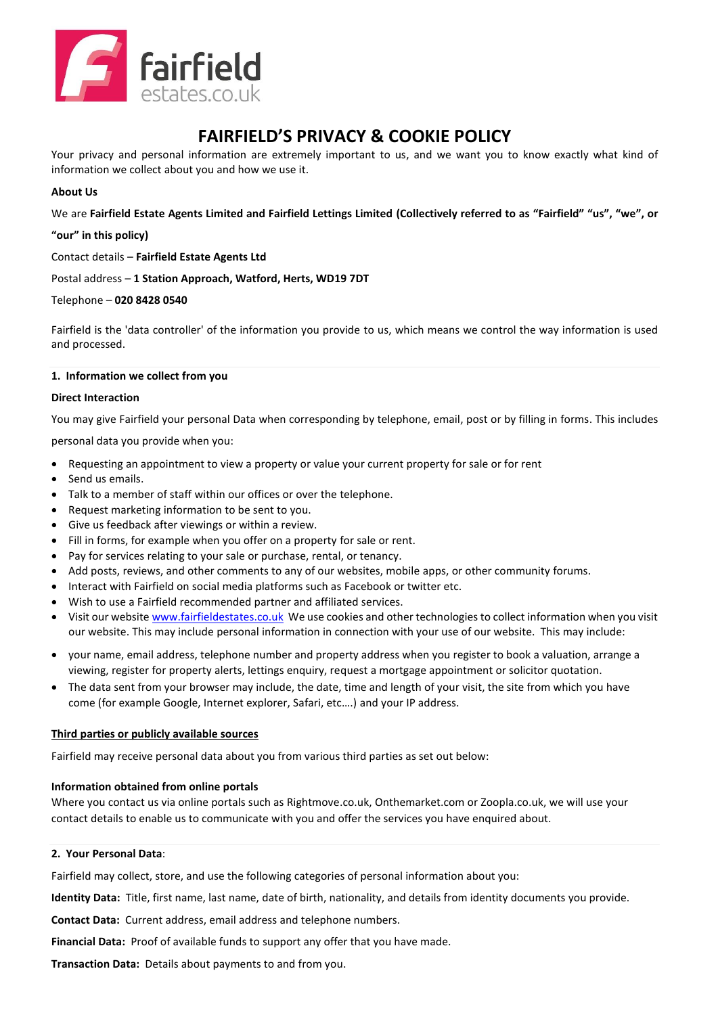

# **FAIRFIELD'S PRIVACY & COOKIE POLICY**

Your privacy and personal information are extremely important to us, and we want you to know exactly what kind of information we collect about you and how we use it.

# **About Us**

We are **Fairfield Estate Agents Limited and Fairfield Lettings Limited (Collectively referred to as "Fairfield" "us", "we", or** 

**"our" in this policy)**

Contact details – **Fairfield Estate Agents Ltd**

Postal address – **1 Station Approach, Watford, Herts, WD19 7DT**

# Telephone – **020 8428 0540**

Fairfield is the 'data controller' of the information you provide to us, which means we control the way information is used and processed.

# **1. Information we collect from you**

# **Direct Interaction**

You may give Fairfield your personal Data when corresponding by telephone, email, post or by filling in forms. This includes

personal data you provide when you:

- Requesting an appointment to view a property or value your current property for sale or for rent
- Send us emails.
- Talk to a member of staff within our offices or over the telephone.
- Request marketing information to be sent to you.
- Give us feedback after viewings or within a review.
- Fill in forms, for example when you offer on a property for sale or rent.
- Pay for services relating to your sale or purchase, rental, or tenancy.
- Add posts, reviews, and other comments to any of our websites, mobile apps, or other community forums.
- Interact with Fairfield on social media platforms such as Facebook or twitter etc.
- Wish to use a Fairfield recommended partner and affiliated services.
- Visit our website [www.fairfieldestates.co.uk](http://www.fairfieldestates.co.uk/) We use cookies and other technologies to collect information when you visit our website. This may include personal information in connection with your use of our website. This may include:
- your name, email address, telephone number and property address when you register to book a valuation, arrange a viewing, register for property alerts, lettings enquiry, request a mortgage appointment or solicitor quotation.
- The data sent from your browser may include, the date, time and length of your visit, the site from which you have come (for example Google, Internet explorer, Safari, etc….) and your IP address.

# **Third parties or publicly available sources**

Fairfield may receive personal data about you from various third parties as set out below:

# **Information obtained from online portals**

Where you contact us via online portals such as Rightmove.co.uk, Onthemarket.com or Zoopla.co.uk, we will use your contact details to enable us to communicate with you and offer the services you have enquired about.

# **2. Your Personal Data**:

Fairfield may collect, store, and use the following categories of personal information about you:

**Identity Data:** Title, first name, last name, date of birth, nationality, and details from identity documents you provide.

**Contact Data:** Current address, email address and telephone numbers.

**Financial Data:** Proof of available funds to support any offer that you have made.

**Transaction Data:** Details about payments to and from you.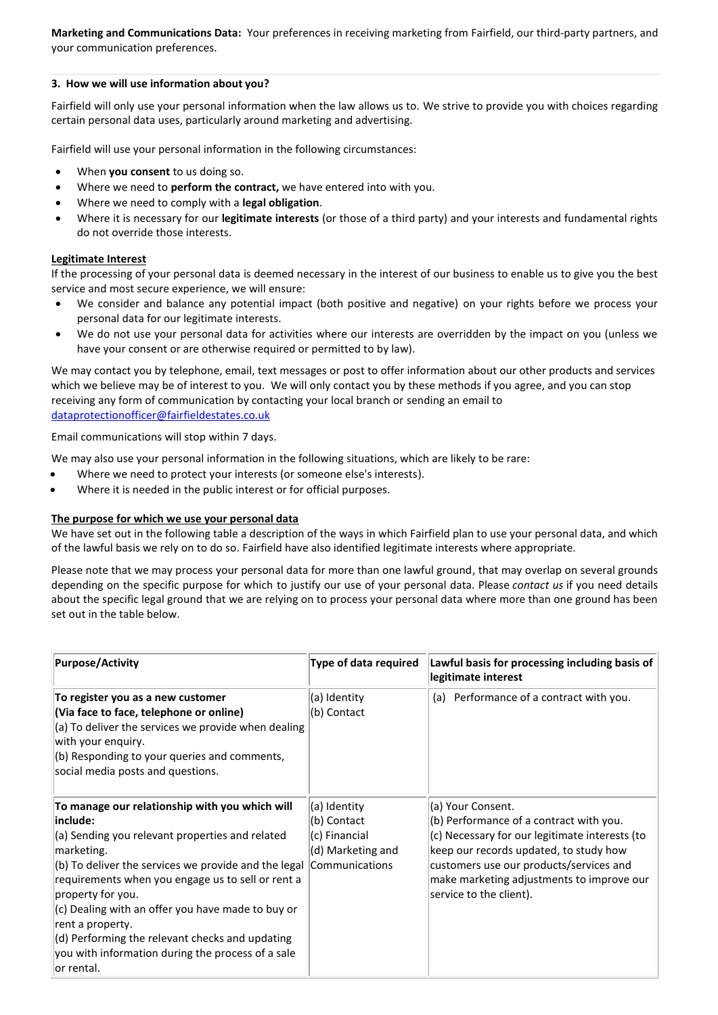**Marketing and Communications Data:** Your preferences in receiving marketing from Fairfield, our third-party partners, and your communication preferences.

## **3. How we will use information about you?**

Fairfield will only use your personal information when the law allows us to. We strive to provide you with choices regarding certain personal data uses, particularly around marketing and advertising.

Fairfield will use your personal information in the following circumstances:

- When **you consent** to us doing so.
- Where we need to **perform the contract,** we have entered into with you.
- Where we need to comply with a **legal obligation**.
- Where it is necessary for our **legitimate interests** (or those of a third party) and your interests and fundamental rights do not override those interests.

## **Legitimate Interest**

If the processing of your personal data is deemed necessary in the interest of our business to enable us to give you the best service and most secure experience, we will ensure:

- We consider and balance any potential impact (both positive and negative) on your rights before we process your personal data for our legitimate interests.
- We do not use your personal data for activities where our interests are overridden by the impact on you (unless we have your consent or are otherwise required or permitted to by law).

We may contact you by telephone, email, text messages or post to offer information about our other products and services which we believe may be of interest to you. We will only contact you by these methods if you agree, and you can stop receiving any form of communication by contacting your local branch or sending an email to [dataprotectionofficer@fairfieldestates.co.uk](mailto:dataprotectionofficer@fairfieldestates.co.uk)

Email communications will stop within 7 days.

We may also use your personal information in the following situations, which are likely to be rare:

- Where we need to protect your interests (or someone else's interests).
- Where it is needed in the public interest or for official purposes.

#### **The purpose for which we use your personal data**

We have set out in the following table a description of the ways in which Fairfield plan to use your personal data, and which of the lawful basis we rely on to do so. Fairfield have also identified legitimate interests where appropriate.

Please note that we may process your personal data for more than one lawful ground, that may overlap on several grounds depending on the specific purpose for which to justify our use of your personal data. Please *contact us* if you need details about the specific legal ground that we are relying on to process your personal data where more than one ground has been set out in the table below.

| <b>Purpose/Activity</b>                                                                                                                                                                                                                                                                                                                                                                                                                                       | Type of data required                                                               | Lawful basis for processing including basis of<br>legitimate interest                                                                                                                                                                                                       |
|---------------------------------------------------------------------------------------------------------------------------------------------------------------------------------------------------------------------------------------------------------------------------------------------------------------------------------------------------------------------------------------------------------------------------------------------------------------|-------------------------------------------------------------------------------------|-----------------------------------------------------------------------------------------------------------------------------------------------------------------------------------------------------------------------------------------------------------------------------|
| To register you as a new customer<br>(Via face to face, telephone or online)<br>(a) To deliver the services we provide when dealing<br>with your enguiry.<br>(b) Responding to your queries and comments,<br>social media posts and questions.                                                                                                                                                                                                                | (a) Identity<br>(b) Contact                                                         | (a) Performance of a contract with you.                                                                                                                                                                                                                                     |
| To manage our relationship with you which will<br>include:<br>(a) Sending you relevant properties and related<br>marketing.<br>(b) To deliver the services we provide and the legal<br>requirements when you engage us to sell or rent a<br>property for you.<br>(c) Dealing with an offer you have made to buy or<br>rent a property.<br>(d) Performing the relevant checks and updating<br>you with information during the process of a sale<br>lor rental. | (a) Identity<br>(b) Contact<br>(c) Financial<br>(d) Marketing and<br>Communications | (a) Your Consent.<br>(b) Performance of a contract with you.<br>(c) Necessary for our legitimate interests (to<br>keep our records updated, to study how<br>customers use our products/services and<br>make marketing adjustments to improve our<br>service to the client). |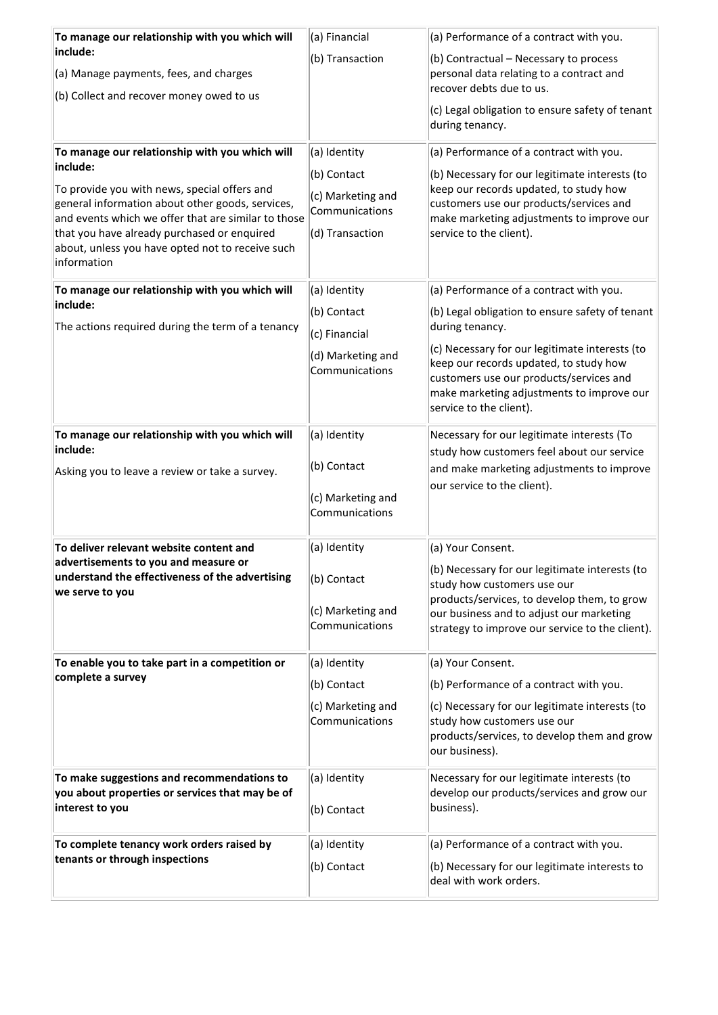| To manage our relationship with you which will                                                          | (a) Financial                       | (a) Performance of a contract with you.                                                  |
|---------------------------------------------------------------------------------------------------------|-------------------------------------|------------------------------------------------------------------------------------------|
| include:                                                                                                | (b) Transaction                     | (b) Contractual - Necessary to process                                                   |
| (a) Manage payments, fees, and charges                                                                  |                                     | personal data relating to a contract and<br>recover debts due to us.                     |
| (b) Collect and recover money owed to us                                                                |                                     |                                                                                          |
|                                                                                                         |                                     | (c) Legal obligation to ensure safety of tenant<br>during tenancy.                       |
| To manage our relationship with you which will                                                          | (a) Identity                        | (a) Performance of a contract with you.                                                  |
| include:                                                                                                | (b) Contact                         | (b) Necessary for our legitimate interests (to                                           |
| To provide you with news, special offers and                                                            | (c) Marketing and                   | keep our records updated, to study how                                                   |
| general information about other goods, services,<br>and events which we offer that are similar to those | Communications                      | customers use our products/services and<br>make marketing adjustments to improve our     |
| that you have already purchased or enquired                                                             | (d) Transaction                     | service to the client).                                                                  |
| about, unless you have opted not to receive such                                                        |                                     |                                                                                          |
| information                                                                                             |                                     |                                                                                          |
| To manage our relationship with you which will                                                          | (a) Identity                        | (a) Performance of a contract with you.                                                  |
| include:                                                                                                | (b) Contact                         | (b) Legal obligation to ensure safety of tenant                                          |
| The actions required during the term of a tenancy                                                       | (c) Financial                       | during tenancy.                                                                          |
|                                                                                                         | (d) Marketing and                   | (c) Necessary for our legitimate interests (to                                           |
|                                                                                                         | Communications                      | keep our records updated, to study how                                                   |
|                                                                                                         |                                     | customers use our products/services and<br>make marketing adjustments to improve our     |
|                                                                                                         |                                     | service to the client).                                                                  |
| To manage our relationship with you which will                                                          | (a) Identity                        | Necessary for our legitimate interests (To                                               |
| include:                                                                                                |                                     | study how customers feel about our service                                               |
| Asking you to leave a review or take a survey.                                                          | (b) Contact                         | and make marketing adjustments to improve                                                |
|                                                                                                         |                                     | our service to the client).                                                              |
|                                                                                                         | (c) Marketing and<br>Communications |                                                                                          |
|                                                                                                         |                                     |                                                                                          |
| To deliver relevant website content and                                                                 | (a) Identity                        | (a) Your Consent.                                                                        |
| advertisements to you and measure or                                                                    |                                     | (b) Necessary for our legitimate interests (to                                           |
| understand the effectiveness of the advertising<br>we serve to you                                      | (b) Contact                         | study how customers use our                                                              |
|                                                                                                         | (c) Marketing and                   | products/services, to develop them, to grow<br>our business and to adjust our marketing  |
|                                                                                                         | Communications                      | strategy to improve our service to the client).                                          |
|                                                                                                         |                                     |                                                                                          |
| To enable you to take part in a competition or                                                          | (a) Identity                        | (a) Your Consent.                                                                        |
| complete a survey                                                                                       | (b) Contact                         | (b) Performance of a contract with you.                                                  |
|                                                                                                         | (c) Marketing and                   | (c) Necessary for our legitimate interests (to                                           |
|                                                                                                         | Communications                      | study how customers use our<br>products/services, to develop them and grow               |
|                                                                                                         |                                     | our business).                                                                           |
|                                                                                                         |                                     |                                                                                          |
| To make suggestions and recommendations to<br>you about properties or services that may be of           | (a) Identity                        | Necessary for our legitimate interests (to<br>develop our products/services and grow our |
| interest to you                                                                                         | (b) Contact                         | business).                                                                               |
|                                                                                                         |                                     |                                                                                          |
| To complete tenancy work orders raised by                                                               | (a) Identity                        | (a) Performance of a contract with you.                                                  |
| tenants or through inspections                                                                          | (b) Contact                         | (b) Necessary for our legitimate interests to                                            |
|                                                                                                         |                                     | deal with work orders.                                                                   |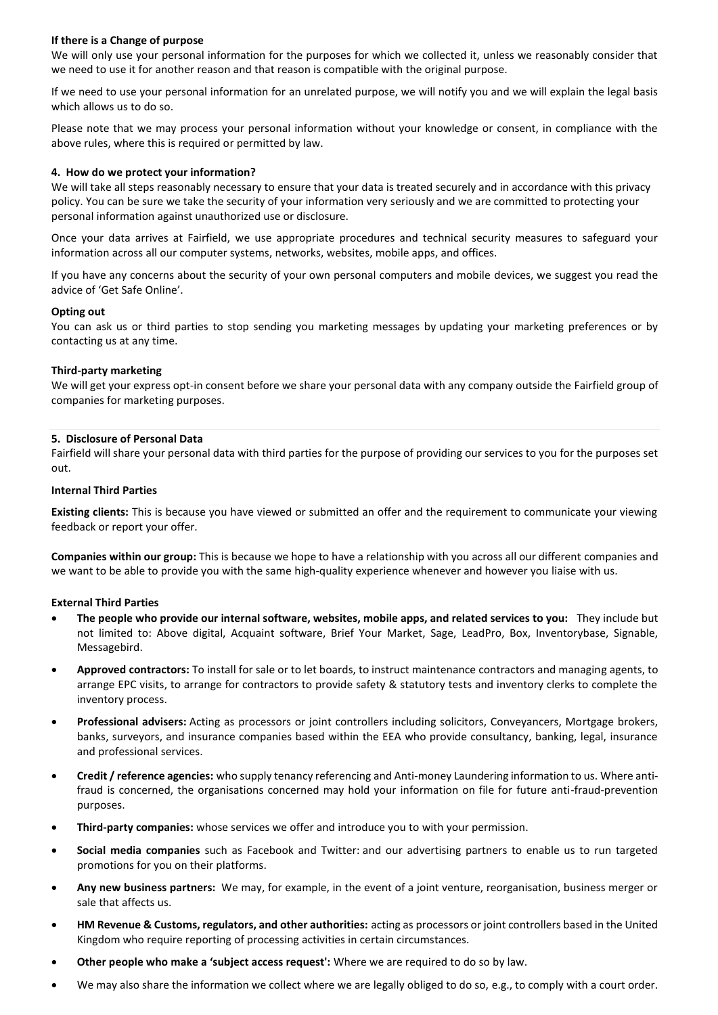# **If there is a Change of purpose**

We will only use your personal information for the purposes for which we collected it, unless we reasonably consider that we need to use it for another reason and that reason is compatible with the original purpose.

If we need to use your personal information for an unrelated purpose, we will notify you and we will explain the legal basis which allows us to do so.

Please note that we may process your personal information without your knowledge or consent, in compliance with the above rules, where this is required or permitted by law.

# **4. How do we protect your information?**

We will take all steps reasonably necessary to ensure that your data is treated securely and in accordance with this privacy policy. You can be sure we take the security of your information very seriously and we are committed to protecting your personal information against unauthorized use or disclosure.

Once your data arrives at Fairfield, we use appropriate procedures and technical security measures to safeguard your information across all our computer systems, networks, websites, mobile apps, and offices.

If you have any concerns about the security of your own personal computers and mobile devices, we suggest you read the advice of 'Get Safe Online'.

## **Opting out**

You can ask us or third parties to stop sending you marketing messages by updating your marketing preferences or by [contacting us](https://my.morrisons.com/help) at any time.

## **Third-party marketing**

We will get your express opt-in consent before we share your personal data with any company outside the Fairfield group of companies for marketing purposes.

## **5. Disclosure of Personal Data**

Fairfield will share your personal data with third parties for the purpose of providing our services to you for the purposes set out.

#### **Internal Third Parties**

**Existing clients:** This is because you have viewed or submitted an offer and the requirement to communicate your viewing feedback or report your offer.

**Companies within our group:** This is because we hope to have a relationship with you across all our different companies and we want to be able to provide you with the same high-quality experience whenever and however you liaise with us.

#### **External Third Parties**

- **The people who provide our internal software, websites, mobile apps, and related services to you:** They include but not limited to: Above digital, Acquaint software, Brief Your Market, Sage, LeadPro, Box, Inventorybase, Signable, Messagebird.
- **Approved contractors:** To install for sale or to let boards, to instruct maintenance contractors and managing agents, to arrange EPC visits, to arrange for contractors to provide safety & statutory tests and inventory clerks to complete the inventory process.
- **Professional advisers:** Acting as processors or joint controllers including solicitors, Conveyancers, Mortgage brokers, banks, surveyors, and insurance companies based within the EEA who provide consultancy, banking, legal, insurance and professional services.
- **Credit / reference agencies:** who supply tenancy referencing and Anti-money Laundering information to us. Where antifraud is concerned, the organisations concerned may hold your information on file for future anti-fraud-prevention purposes.
- **Third-party companies:** whose services we offer and introduce you to with your permission.
- **Social media companies** such as Facebook and Twitter: and our advertising partners to enable us to run targeted promotions for you on their platforms.
- **Any new business partners:** We may, for example, in the event of a joint venture, reorganisation, business merger or sale that affects us.
- **HM Revenue & Customs, regulators, and other authorities:** acting as processors or joint controllers based in the United Kingdom who require reporting of processing activities in certain circumstances.
- **Other people who make a 'subject access request':** Where we are required to do so by law.
- We may also share the information we collect where we are legally obliged to do so, e.g., to comply with a court order.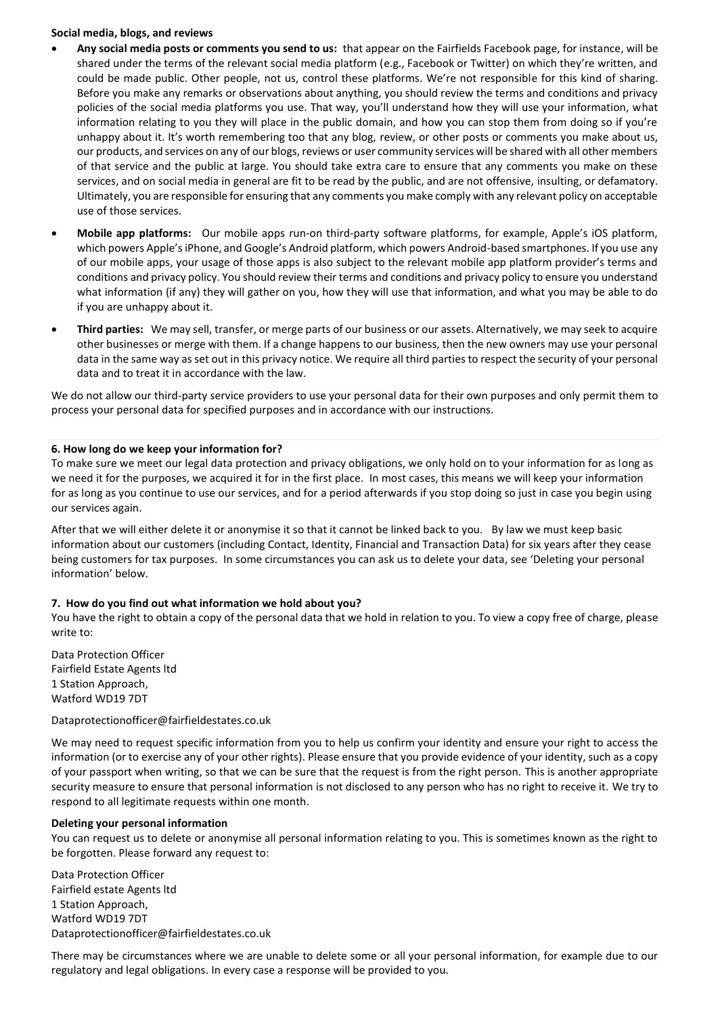#### **Social media, blogs, and reviews**

- **Any social media posts or comments you send to us:** that appear on the Fairfields Facebook page, for instance, will be shared under the terms of the relevant social media platform (e.g., Facebook or Twitter) on which they're written, and could be made public. Other people, not us, control these platforms. We're not responsible for this kind of sharing. Before you make any remarks or observations about anything, you should review the terms and conditions and privacy policies of the social media platforms you use. That way, you'll understand how they will use your information, what information relating to you they will place in the public domain, and how you can stop them from doing so if you're unhappy about it. It's worth remembering too that any blog, review, or other posts or comments you make about us, our products, and services on any of our blogs, reviews or user community services will be shared with all other members of that service and the public at large. You should take extra care to ensure that any comments you make on these services, and on social media in general are fit to be read by the public, and are not offensive, insulting, or defamatory. Ultimately, you are responsible for ensuring that any comments you make comply with any relevant policy on acceptable use of those services.
- **Mobile app platforms:** Our mobile apps run-on third-party software platforms, for example, Apple's iOS platform, which powers Apple's iPhone, and Google's Android platform, which powers Android-based smartphones. If you use any of our mobile apps, your usage of those apps is also subject to the relevant mobile app platform provider's terms and conditions and privacy policy. You should review their terms and conditions and privacy policy to ensure you understand what information (if any) they will gather on you, how they will use that information, and what you may be able to do if you are unhappy about it.
- **Third parties:** We may sell, transfer, or merge parts of our business or our assets. Alternatively, we may seek to acquire other businesses or merge with them. If a change happens to our business, then the new owners may use your personal data in the same way as set out in this privacy notice. We require all third parties to respect the security of your personal data and to treat it in accordance with the law.

We do not allow our third-party service providers to use your personal data for their own purposes and only permit them to process your personal data for specified purposes and in accordance with our instructions.

# **6. How long do we keep your information for?**

To make sure we meet our legal data protection and privacy obligations, we only hold on to your information for as long as we need it for the purposes, we acquired it for in the first place. In most cases, this means we will keep your information for as long as you continue to use our services, and for a period afterwards if you stop doing so just in case you begin using our services again.

After that we will either delete it or anonymise it so that it cannot be linked back to you. By law we must keep basic information about our customers (including Contact, Identity, Financial and Transaction Data) for six years after they cease being customers for tax purposes. In some circumstances you can ask us to delete your data, see 'Deleting your personal information' below.

# **7. How do you find out what information we hold about you?**

You have the right to obtain a copy of the personal data that we hold in relation to you. To view a copy free of charge, please write to:

Data Protection Officer Fairfield Estate Agents ltd 1 Station Approach, Watford WD19 7DT

Dataprotectionofficer@fairfieldestates.co.uk

We may need to request specific information from you to help us confirm your identity and ensure your right to access the information (or to exercise any of your other rights). Please ensure that you provide evidence of your identity, such as a copy of your passport when writing, so that we can be sure that the request is from the right person. This is another appropriate security measure to ensure that personal information is not disclosed to any person who has no right to receive it. We try to respond to all legitimate requests within one month.

# **Deleting your personal information**

You can request us to delete or anonymise all personal information relating to you. This is sometimes known as the right to be forgotten. Please forward any request to:

Data Protection Officer Fairfield estate Agents ltd 1 Station Approach, Watford WD19 7DT Dataprotectionofficer@fairfieldestates.co.uk

There may be circumstances where we are unable to delete some or all your personal information, for example due to our regulatory and legal obligations. In every case a response will be provided to you.